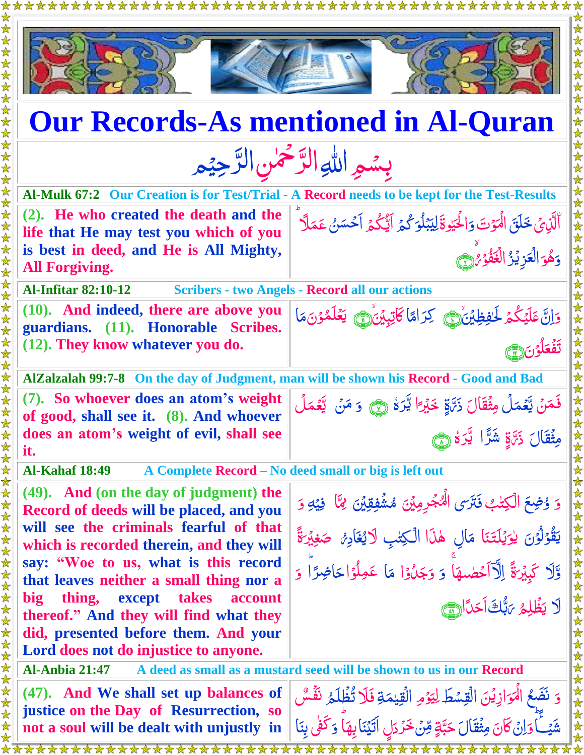

**(47). And We shall set up balances of justice on the Day of Resurrection, so not a soul will be dealt with unjustly in** 

\*\*\*\*\*\*\*\*\*\*\*\*\*\*\*\*\*\*\*\*\*\*\*

الْمَوَازِيْنَ الْقِسْطَ لِيَوْمِ <u>ú</u> <u>ُ</u><br>ُ مبر<br>م لِيَوْمِ الْقِيْمَةِ ل ر<br>م الۡقِيٰمَةِ **نَ**لَا تُظۡلَمُ ۚ نَفۡسٌ ٰ گر<br>. وَاِنۡ كَانَ مِثۡقَالَ حَبَّةٍ مِّنۡ حَرۡدَلٍ .<br>ا  $\ddot{\hat{\bm{\delta}}}$ حَرَّرَلٍ الَّيْنَابِهَا<br>مستقدم رَ<br>ِ لَي<br>۔ وَكَّفْى بِنَا<br>مستقل

َّ

شَيَـــَ<sup>ــ</sup>َ<br>تشيــــا ֦֦֦֦֦֦֦֪֦֪֦֦֪֦֝֝֝֝֝֝֝֝֝֝֝֓֬֝֓֬֝֓֬֝֓֬֝֓֬֝֓֬ 

**∕** 

<u>َ</u>

ۡ ا